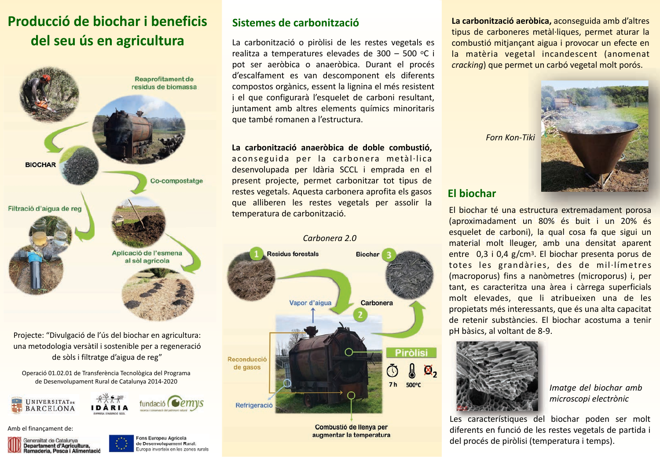# Producció de biochar i beneficis del seu ús en agricultura



Projecte: "Divulgació de l'ús del biochar en agricultura: una metodologia versàtil i sostenible per a regeneració de sòls i filtratge d'aigua de reg"

Operació 01.02.01 de Transferència Tecnològica del Programa de Desenvolupament Rural de Catalunya 2014-2020





Amb el finançament de:



Fons Europeu Agricola de Desenvolupament Rural: Europa inverteix en les zones rurals

#### Sistemes de carbonització

La carbonització o piròlisi de les restes vegetals es realitza a temperatures elevades de 300 - 500 °C i pot ser aeròbica o anaeròbica. Durant el procés d'escalfament es van descomponent els diferents compostos orgànics, essent la lignina el més resistent i el que configurarà l'esquelet de carboni resultant, juntament amb altres elements químics minoritaris que també romanen a l'estructura.

#### La carbonització anaeròbica de doble combustió.

aconseguida per la carbonera metàl·lica desenvolupada per Idària SCCL i emprada en el present projecte, permet carbonitzar tot tipus de restes vegetals. Aquesta carbonera aprofita els gasos que alliberen les restes vegetals per assolir la temperatura de carbonització.



Combustió de llenya per augmentar la temperatura La carbonització aeròbica, aconseguida amb d'altres tipus de carboneres metàl·liques, permet aturar la combustió mitjançant aigua i provocar un efecte en la matèria vegetal incandescent (anomenat crackina) que permet un carbó vegetal molt porós.

#### **Fl biochar**

**Forn Kon-Tiki** 

El biochar té una estructura extremadament porosa Caproximadament un 80% és buit i un 20% és esquelet de carboni), la qual cosa fa que sigui un material molt lleuger, amb una densitat aparent entre 0.3 i 0.4 g/cm<sup>3</sup>. El biochar presenta porus de totes les grandàries, des de mil·límetres (macroporus) fins a nanòmetres (microporus) i, per tant, es caracteritza una àrea i càrrega superficials molt elevades, que li atribueixen una de les propietats més interessants, que és una alta capacitat de retenir substàncies. El biochar acostuma a tenir pH bàsics, al voltant de 8-9.



Imatae del biochar amb microscopi electrònic

Les característiques del biochar poden ser molt diferents en funció de les restes vegetals de partida i del procés de piròlisi (temperatura i temps).